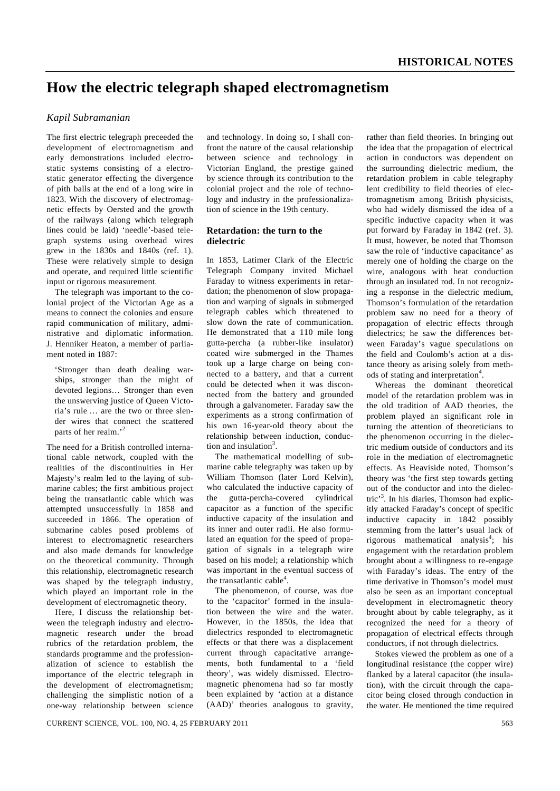# **How the electric telegraph shaped electromagnetism**

# *Kapil Subramanian*

The first electric telegraph preceeded the development of electromagnetism and early demonstrations included electrostatic systems consisting of a electrostatic generator effecting the divergence of pith balls at the end of a long wire in 1823. With the discovery of electromagnetic effects by Oersted and the growth of the railways (along which telegraph lines could be laid) 'needle'-based telegraph systems using overhead wires grew in the 1830s and 1840s (ref. 1). These were relatively simple to design and operate, and required little scientific input or rigorous measurement.

 The telegraph was important to the colonial project of the Victorian Age as a means to connect the colonies and ensure rapid communication of military, administrative and diplomatic information. J. Henniker Heaton, a member of parliament noted in 1887:

'Stronger than death dealing warships, stronger than the might of devoted legions… Stronger than even the unswerving justice of Queen Victoria's rule … are the two or three slender wires that connect the scattered parts of her realm.'<sup>2</sup>

The need for a British controlled international cable network, coupled with the realities of the discontinuities in Her Majesty's realm led to the laying of submarine cables; the first ambitious project being the transatlantic cable which was attempted unsuccessfully in 1858 and succeeded in 1866. The operation of submarine cables posed problems of interest to electromagnetic researchers and also made demands for knowledge on the theoretical community. Through this relationship, electromagnetic research was shaped by the telegraph industry, which played an important role in the development of electromagnetic theory.

 Here, I discuss the relationship between the telegraph industry and electromagnetic research under the broad rubrics of the retardation problem, the standards programme and the professionalization of science to establish the importance of the electric telegraph in the development of electromagnetism; challenging the simplistic notion of a one-way relationship between science

and technology. In doing so, I shall confront the nature of the causal relationship between science and technology in Victorian England, the prestige gained by science through its contribution to the colonial project and the role of technology and industry in the professionalization of science in the 19th century.

### **Retardation: the turn to the dielectric**

In 1853, Latimer Clark of the Electric Telegraph Company invited Michael Faraday to witness experiments in retardation; the phenomenon of slow propagation and warping of signals in submerged telegraph cables which threatened to slow down the rate of communication. He demonstrated that a 110 mile long gutta-percha (a rubber-like insulator) coated wire submerged in the Thames took up a large charge on being connected to a battery, and that a current could be detected when it was disconnected from the battery and grounded through a galvanometer. Faraday saw the experiments as a strong confirmation of his own 16-year-old theory about the relationship between induction, conduction and insulation<sup>3</sup>.

 The mathematical modelling of submarine cable telegraphy was taken up by William Thomson (later Lord Kelvin), who calculated the inductive capacity of the gutta-percha-covered cylindrical capacitor as a function of the specific inductive capacity of the insulation and its inner and outer radii. He also formulated an equation for the speed of propagation of signals in a telegraph wire based on his model; a relationship which was important in the eventual success of the transatlantic cable<sup>4</sup>.

 The phenomenon, of course, was due to the 'capacitor' formed in the insulation between the wire and the water. However, in the 1850s, the idea that dielectrics responded to electromagnetic effects or that there was a displacement current through capacitative arrangements, both fundamental to a 'field theory', was widely dismissed. Electromagnetic phenomena had so far mostly been explained by 'action at a distance (AAD)' theories analogous to gravity, rather than field theories. In bringing out the idea that the propagation of electrical action in conductors was dependent on the surrounding dielectric medium, the retardation problem in cable telegraphy lent credibility to field theories of electromagnetism among British physicists, who had widely dismissed the idea of a specific inductive capacity when it was put forward by Faraday in 1842 (ref. 3). It must, however, be noted that Thomson saw the role of 'inductive capacitance' as merely one of holding the charge on the wire, analogous with heat conduction through an insulated rod. In not recognizing a response in the dielectric medium, Thomson's formulation of the retardation problem saw no need for a theory of propagation of electric effects through dielectrics; he saw the differences between Faraday's vague speculations on the field and Coulomb's action at a distance theory as arising solely from methods of stating and interpretation<sup>4</sup>.

 Whereas the dominant theoretical model of the retardation problem was in the old tradition of AAD theories, the problem played an significant role in turning the attention of theoreticians to the phenomenon occurring in the dielectric medium outside of conductors and its role in the mediation of electromagnetic effects. As Heaviside noted, Thomson's theory was 'the first step towards getting out of the conductor and into the dielectric'<sup>3</sup> . In his diaries, Thomson had explicitly attacked Faraday's concept of specific inductive capacity in 1842 possibly stemming from the latter's usual lack of rigorous mathematical analysis<sup>4</sup>; his engagement with the retardation problem brought about a willingness to re-engage with Faraday's ideas. The entry of the time derivative in Thomson's model must also be seen as an important conceptual development in electromagnetic theory brought about by cable telegraphy, as it recognized the need for a theory of propagation of electrical effects through conductors, if not through dielectrics.

 Stokes viewed the problem as one of a longitudinal resistance (the copper wire) flanked by a lateral capacitor (the insulation), with the circuit through the capacitor being closed through conduction in the water. He mentioned the time required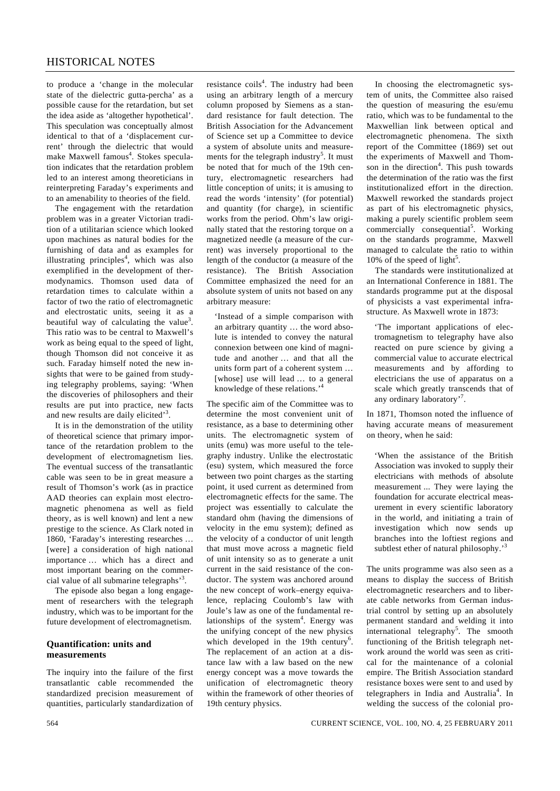to produce a 'change in the molecular state of the dielectric gutta-percha' as a possible cause for the retardation, but set the idea aside as 'altogether hypothetical'. This speculation was conceptually almost identical to that of a 'displacement current' through the dielectric that would make Maxwell famous<sup>4</sup>. Stokes speculation indicates that the retardation problem led to an interest among theoreticians in reinterpreting Faraday's experiments and to an amenability to theories of the field.

 The engagement with the retardation problem was in a greater Victorian tradition of a utilitarian science which looked upon machines as natural bodies for the furnishing of data and as examples for illustrating principles<sup>4</sup>, which was also exemplified in the development of thermodynamics. Thomson used data of retardation times to calculate within a factor of two the ratio of electromagnetic and electrostatic units, seeing it as a beautiful way of calculating the value<sup>3</sup>. This ratio was to be central to Maxwell's work as being equal to the speed of light, though Thomson did not conceive it as such. Faraday himself noted the new insights that were to be gained from studying telegraphy problems, saying: 'When the discoveries of philosophers and their results are put into practice, new facts and new results are daily elicited<sup>3</sup>.

 It is in the demonstration of the utility of theoretical science that primary importance of the retardation problem to the development of electromagnetism lies. The eventual success of the transatlantic cable was seen to be in great measure a result of Thomson's work (as in practice AAD theories can explain most electromagnetic phenomena as well as field theory, as is well known) and lent a new prestige to the science. As Clark noted in 1860, 'Faraday's interesting researches … [were] a consideration of high national importance … which has a direct and most important bearing on the commercial value of all submarine telegraphs'<sup>3</sup>.

 The episode also began a long engagement of researchers with the telegraph industry, which was to be important for the future development of electromagnetism.

## **Quantification: units and measurements**

The inquiry into the failure of the first transatlantic cable recommended the standardized precision measurement of quantities, particularly standardization of

resistance coils<sup>4</sup>. The industry had been using an arbitrary length of a mercury column proposed by Siemens as a standard resistance for fault detection. The British Association for the Advancement of Science set up a Committee to device a system of absolute units and measurements for the telegraph industry<sup>5</sup>. It must be noted that for much of the 19th century, electromagnetic researchers had little conception of units; it is amusing to read the words 'intensity' (for potential) and quantity (for charge), in scientific works from the period. Ohm's law originally stated that the restoring torque on a magnetized needle (a measure of the current) was inversely proportional to the length of the conductor (a measure of the resistance). The British Association Committee emphasized the need for an absolute system of units not based on any arbitrary measure:

'Instead of a simple comparison with an arbitrary quantity … the word absolute is intended to convey the natural connexion between one kind of magnitude and another … and that all the units form part of a coherent system … [whose] use will lead ... to a general knowledge of these relations.'<sup>4</sup>

The specific aim of the Committee was to determine the most convenient unit of resistance, as a base to determining other units. The electromagnetic system of units (emu) was more useful to the telegraphy industry. Unlike the electrostatic (esu) system, which measured the force between two point charges as the starting point, it used current as determined from electromagnetic effects for the same. The project was essentially to calculate the standard ohm (having the dimensions of velocity in the emu system); defined as the velocity of a conductor of unit length that must move across a magnetic field of unit intensity so as to generate a unit current in the said resistance of the conductor. The system was anchored around the new concept of work–energy equivalence, replacing Coulomb's law with Joule's law as one of the fundamental relationships of the system<sup>4</sup>. Energy was the unifying concept of the new physics which developed in the 19th century<sup>6</sup>. The replacement of an action at a distance law with a law based on the new energy concept was a move towards the unification of electromagnetic theory within the framework of other theories of 19th century physics.

 In choosing the electromagnetic system of units, the Committee also raised the question of measuring the esu/emu ratio, which was to be fundamental to the Maxwellian link between optical and electromagnetic phenomena. The sixth report of the Committee (1869) set out the experiments of Maxwell and Thomson in the direction<sup>4</sup>. This push towards the determination of the ratio was the first institutionalized effort in the direction. Maxwell reworked the standards project as part of his electromagnetic physics, making a purely scientific problem seem commercially consequential<sup>5</sup>. Working on the standards programme, Maxwell managed to calculate the ratio to within 10% of the speed of light<sup>5</sup>.

 The standards were institutionalized at an International Conference in 1881. The standards programme put at the disposal of physicists a vast experimental infrastructure. As Maxwell wrote in 1873:

'The important applications of electromagnetism to telegraphy have also reacted on pure science by giving a commercial value to accurate electrical measurements and by affording to electricians the use of apparatus on a scale which greatly transcends that of any ordinary laboratory'<sup>7</sup> .

In 1871, Thomson noted the influence of having accurate means of measurement on theory, when he said:

'When the assistance of the British Association was invoked to supply their electricians with methods of absolute measurement ... They were laying the foundation for accurate electrical measurement in every scientific laboratory in the world, and initiating a train of investigation which now sends up branches into the loftiest regions and subtlest ether of natural philosophy.<sup>3</sup>

The units programme was also seen as a means to display the success of British electromagnetic researchers and to liberate cable networks from German industrial control by setting up an absolutely permanent standard and welding it into international telegraphy<sup>5</sup>. The smooth functioning of the British telegraph network around the world was seen as critical for the maintenance of a colonial empire. The British Association standard resistance boxes were sent to and used by telegraphers in India and Australia<sup>4</sup>. In welding the success of the colonial pro